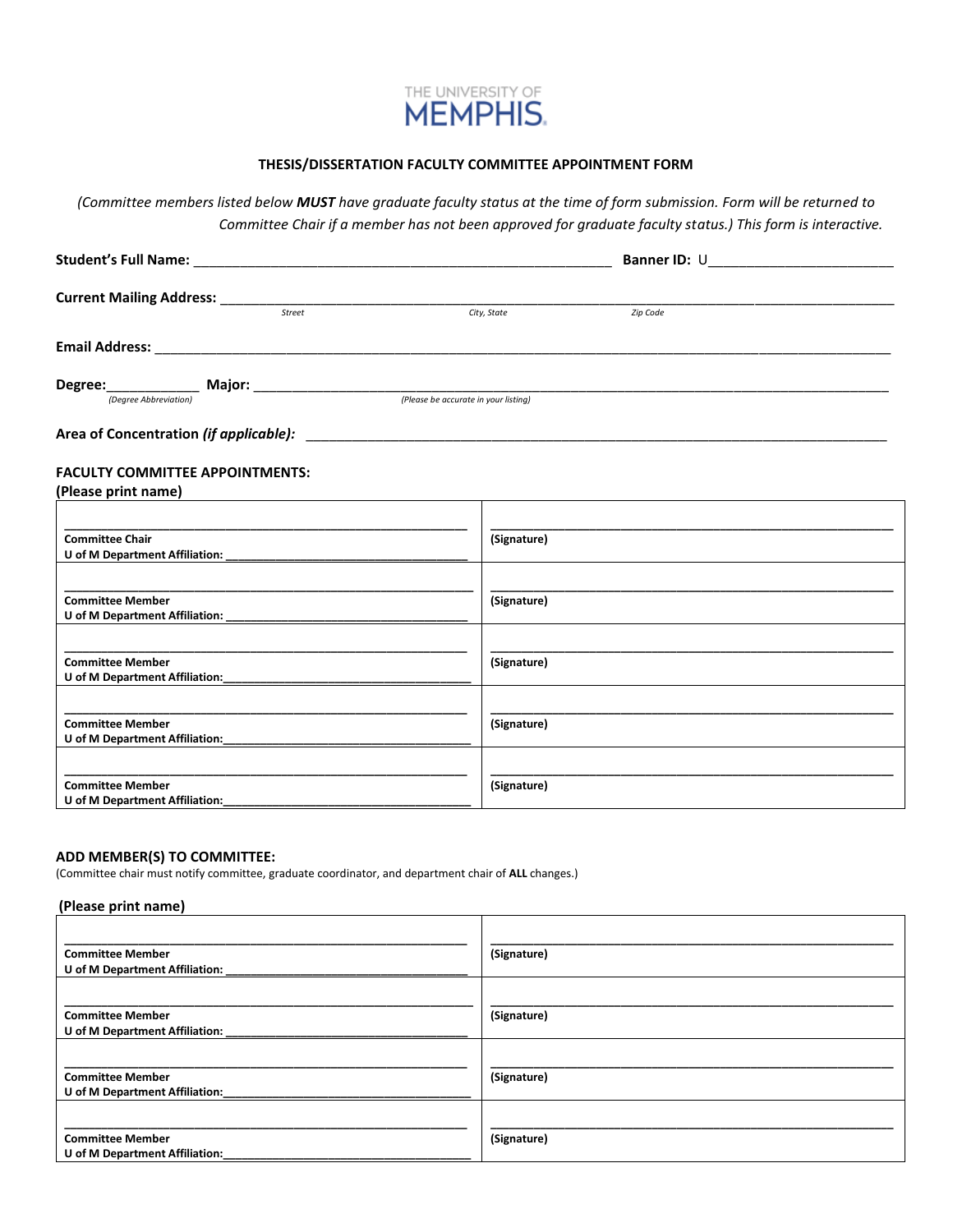

### **THESIS/DISSERTATION FACULTY COMMITTEE APPOINTMENT FORM**

*(Committee members listed below MUST have graduate faculty status at the time of form submission. Form will be returned to Committee Chair if a member has not been approved for graduate faculty status.) This form is interactive.*

|                                                               |             | Banner ID: U |  |  |
|---------------------------------------------------------------|-------------|--------------|--|--|
|                                                               |             |              |  |  |
| Street                                                        | City, State | Zip Code     |  |  |
|                                                               |             |              |  |  |
|                                                               |             |              |  |  |
|                                                               |             |              |  |  |
|                                                               |             |              |  |  |
| <b>FACULTY COMMITTEE APPOINTMENTS:</b><br>(Please print name) |             |              |  |  |
|                                                               |             |              |  |  |
| <b>Committee Chair</b><br>U of M Department Affiliation:      | (Signature) |              |  |  |
|                                                               |             |              |  |  |
| <b>Committee Member</b>                                       | (Signature) |              |  |  |
|                                                               |             |              |  |  |
| <b>Committee Member</b><br>U of M Department Affiliation:     | (Signature) |              |  |  |
|                                                               |             |              |  |  |
| <b>Committee Member</b><br>U of M Department Affiliation:     | (Signature) |              |  |  |
|                                                               |             |              |  |  |
| <b>Committee Member</b><br>U of M Department Affiliation:     | (Signature) |              |  |  |

#### **ADD MEMBER(S) TO COMMITTEE:**

(Committee chair must notify committee, graduate coordinator, and department chair of **ALL** changes.)

#### **(Please print name)**

| <b>Committee Member</b><br>U of M Department Affiliation: | (Signature) |
|-----------------------------------------------------------|-------------|
| <b>Committee Member</b><br>U of M Department Affiliation: | (Signature) |
| <b>Committee Member</b><br>U of M Department Affiliation: | (Signature) |
| <b>Committee Member</b><br>U of M Department Affiliation: | (Signature) |